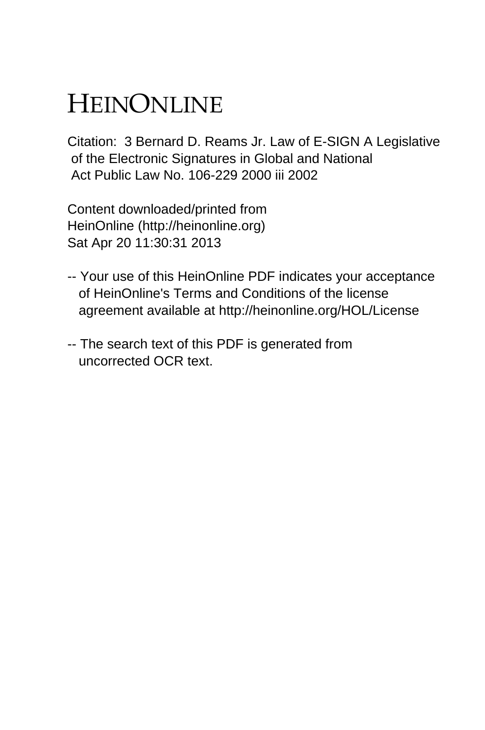## HEINONLINE

Citation: 3 Bernard D. Reams Jr. Law of E-SIGN A Legislative of the Electronic Signatures in Global and National Act Public Law No. 106-229 2000 iii 2002

Content downloaded/printed from HeinOnline (http://heinonline.org) Sat Apr 20 11:30:31 2013

- -- Your use of this HeinOnline PDF indicates your acceptance of HeinOnline's Terms and Conditions of the license agreement available at http://heinonline.org/HOL/License
- -- The search text of this PDF is generated from uncorrected OCR text.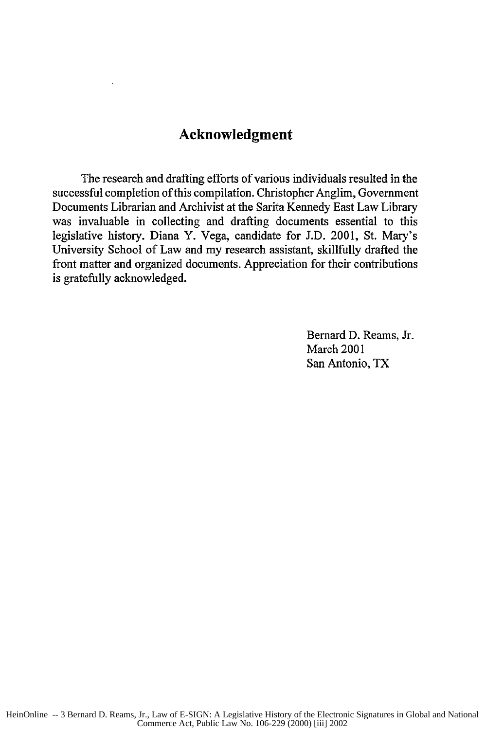## **Acknowledgment**

The research and drafting efforts of various individuals resulted in the successful completion of this compilation. Christopher Anglim, Government Documents Librarian and Archivist at the Sarita Kennedy East Law Library was invaluable in collecting and drafting documents essential to this legislative history. Diana Y. Vega, candidate for J.D. 2001, St. Mary's University School of Law and my research assistant, skillfully drafted the front matter and organized documents. Appreciation for their contributions is gratefully acknowledged.

> Bernard D. Reams, Jr. March 2001 San Antonio, TX